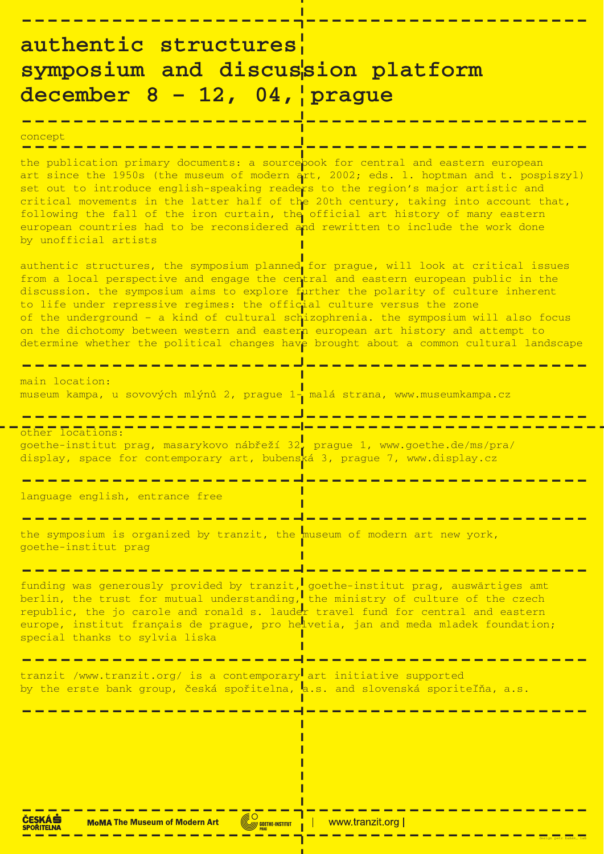**--------------------------------------------**

# **authentic structures symposium and discussion platform december 8 – 12, 04, prague**

**--------------------------------------------**

## concept **--------------------------------------------**

the publication primary documents: a source<mark>book for central and eastern european</mark> art since the 1950s (the museum of modern art, 2002; eds. 1. hoptman and t. pospiszyl) set out to introduce english-speaking readers to the region's major artistic and critical movements in the latter half of the 20th century, taking into account that, following the fall of the iron curtain, the official art history of many eastern european countries had to be reconsidered and rewritten to include the work done by unofficial artists

authentic structures, the symposium planned for prague, will look at critical issues from a local perspective and engage the central and eastern european public in the discussion. the symposium aims to explore further the polarity of culture inherent to life under repressive regimes: the official culture versus the zone of the underground – a kind of cultural schizophrenia. the symposium will also focus on the dichotomy between western and eastern european art history and attempt to determine whether the political changes have brought about a common cultural landscape

main location: museum kampa, u sovových mlýnů 2, prague 1- malá strana, www.museumkampa.cz

**-------------------------------------------** other locations: goethe-institut prag, masarykovo nábřeží 32, prague 1, www.goethe.de/ms/pra/ display, space for contemporary art, bubenská 3, prague 7, www.display.cz

the symposium is organized by tranzit, the museum of modern art new york, goethe-institut prag

## **-------------------------------------------** tranzit /www.tranzit.org/ is a contemporary art initiative supported by the erste bank group, česká spořitelna, a.s. and slovenská sporiteľňa, a.s.

**--------------------------------------------**

**--------------------------------------------**

language english, entrance free

**--------------------------------------------**

**--------------------------------------------**

funding was generously provided by tranzit, goethe-institut prag, auswärtiges amt berlin, the trust for mutual understanding, the ministry of culture of the czech republic, the jo carole and ronald s. lauder travel fund for central and eastern europe, institut français de prague, pro helvetia, jan and meda mladek foundation; special thanks to sylvia liska

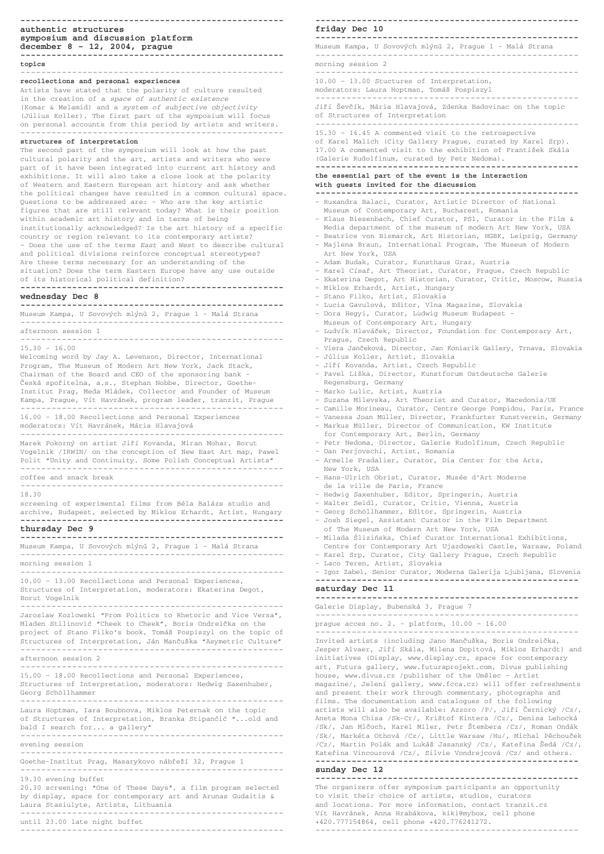**---------------------------------------------------**

**---------------------------------------------------** Museum Kampa, U Sovových mlýnů 2, Prague 1 - Malá Strana

#### **friday Dec 10**

---------------------------------------------------

morning session 2 ---------------------------------------------------

Jiří Ševčík, Mária Hlavajová, Zdenka Badovinac on the topic of Structures of Interpretation

10.00 – 13.00 Stuctures of Interpretation,

moderators: Laura Hoptman, Tomáš Pospiszyl

---------------------------------------------------

#### ---------------------------------------------------

15.30 – 16.45 A commented visit to the retrospective of Karel Malich (City Gallery Prague, curated by Karel Srp). 17.00 A commented visit to the exhibition of František Skála (Galerie Rudolfinum, curated by Petr Nedoma).

**---------------------------------------------------**

#### **the essential part of the event is the interaction with guests invited for the discussion**

**---------------------------------------------------**

--------------------------------------------------- Invited artists (including Jano Mančuška, Boris Ondreička,

Jesper Alvaer, Jifií Skála, Milena Dopitová, Miklos Erhardt) and initiatives (Display, www.display.cz, space for contemporary art, Futura gallery, www.futuraprojekt.com, Divus publishing house, www.divus.cz /publisher of the Umělec - Artist magazine/, Jelení gallery, www.fcca.cz) will offer refreshments and present their work through commentary, photographs and films. The documentation and catalogues of the following artists will also be available: Azzoro /P/, Jiří Černický /Cz/, Aneta Mona Chisa /Sk-Cr/, Kri‰tof Kintera /Cz/, Denisa Lehocká /Sk/, Jan Mlčoch, Karel Miler, Petr Štembera /Cz/, Roman Ondák /Sk/, Markéta Othová /Cz/, Little Warsaw /Hu/, Michal Pěchouček /Cz/, Martin Polák and Lukáš Jasanský /Cz/, Kateřina Šedá /Cz/, Kateřina Vincourová /Cz/, Silvie Vondrejcová /Cz/ and others.

- Ruxandra Balaci, Curator, Artistic Director of National Museum of Contemporary Art, Bucharest, Romania
- Klaus Biesenbach, Chief Curator, PS1, Curator in the Film & Media department of the museum of modern Art New York, USA
- Beatrice von Bismarck, Art Historian, HGBK, Leipzig, Germany – Majlena Braun, International Program, The Museum of Modern Art New York, USA
- Adam Budak, Curator, Kunsthaus Graz, Austria
- Karel Císafi, Art Theorist, Curator, Prague, Czech Republic
- Ekaterina Degot, Art Historian, Curator, Critic, Moscow, Russia
- Miklos Erhardt, Artist, Hungary
- Stano Filko, Artist, Slovakia
- Lucia Gavulová, Editor, Vlna Magazine, Slovakia
- Dora Hegyi, Curator, Ludwig Museum Budapest Museum of Contemporary Art, Hungary
- Ludvík Hlaváãek, Director, Foundation for Contemporary Art, Prague, Czech Republic
- Viera Janãeková, Director, Jan Koniarik Gallery, Trnava, Slovakia
- Július Koller, Artist, Slovakia
- Jifií Kovanda, Artist, Czech Republic
- Pavel Li‰ka, Director, Kunstforum Ostdeutsche Galerie Regensburg, Germany
- Marko Lulic, Artist, Austria
- Suzana Milevska, Art Theorist and Curator, Macedonia/UK
- Camille Morineau, Curator, Centre George Pompidou, Paris, France
- Vanessa Joan Müller, Director, Frankfurter Kunstverein, Germany
- Markus Müller, Director of Communication, KW Institute for Contemporary Art, Berlin, Germany
- Petr Nedoma, Director, Galerie Rudolfinum, Czech Republic
- Dan Perjovschi, Artist, Romania
- Armelle Pradalier, Curator, Dia Center for the Arts, New York, USA
- Hans-Ulrich Obrist, Curator, Musée d'Art Moderne de la ville de Paris, France
- Hedwig Saxenhuber, Editor, Springerin, Austria
- Walter Seidl, Curator, Critic, Vienna, Austria
- Georg Schöllhammer, Editor, Springerin, Austria
- Josh Siegel, Assistant Curator in the Film Department of The Museum of Modern Art New York, USA
- Milada Âliziƒska, Chief Curator International Exhibitions, Centre for Contemporary Art Ujazdowski Castle, Warsaw, Poland
- Karel Srp, Curator, City Gallery Prague, Czech Republic
- Laco Teren, Artist, Slovakia
- Igor Zabel, Senior Curator, Moderna Galerija Ljubljana, Slovenia

**---------------------------------------------------**

#### **saturday Dec 11**

**---------------------------------------------------**

Galerie Display, Bubenská 3, Prague 7

---------------------------------------------------

prague acces no. 2. - platform, 10.00 – 16.00

--------------------------------------------------- Jaroslaw Kozlowski "From Politics to Rhetoric and Vice Versa", Mladen Stilinoviç "Cheek to Cheek", Boris Ondreiãka on the project of Stano Filko's book, Tomáš Pospiszyl on the topic of Structures of Interpretation, Ján Mančuška "Asymetric Culture"

**---------------------------------------------------**

#### **sunday Dec 12**

**---------------------------------------------------**

The organizers offer symposium participants an opportunity to visit their choice of artists, studios, curators and locations. For more information, contact tranzit.cz Vít Havránek, Anna Hrabákova, kiki@mybox, cell phone +420.777154864, cell phone +420.776241272.

---------------------------------------------------

**---------------------------------------------------**

### **authentic structures symposium and discussion platform december 8 – 12, 2004, prague**

**-------------------------------------------------- topics** ---------------------------------------------------

## **recollections and personal experiences**

Artists have stated that the polarity of culture resulted in the creation of a *space of authentic existence* (Komar & Melamid) and a *system of subjective objectivity* (Július Koller). The first part of the symposium will focus on personal accounts from this period by artists and writers. ---------------------------------------------------

#### **structures of interpretation**

The second part of the symposium will look at how the past cultural polarity and the art, artists and writers who were part of it have been integrated into current art history and exhibitions. It will also take a close look at the polarity of Western and Eastern European art history and ask whether the political changes have resulted in a common cultural space. Questions to be addressed are: – Who are the key artistic figures that are still relevant today? What is their position within academic art history and in terms of being institutionally acknowledged? Is the art history of a specific country or region relevant to its contemporary artists? – Does the use of the terms *East* and *West* to describe cultural and political divisions reinforce conceptual stereotypes? Are these terms necessary for an understanding of the situation? Does the term Eastern Europe have any use outside of its historical political definition? **---------------------------------------------------**

## **wednesday Dec 8**

**---------------------------------------------------**

Museum Kampa, U Sovových mlýnů 2, Prague 1 - Malá Strana

---------------------------------------------------

afternoon session 1

---------------------------------------------------

#### 15.30 - 16.00 Welcoming word by Jay A. Levenson, Director, International Program, The Museum of Modern Art New York, Jack Stack, Chairman of the Board and CEO of the sponsoring bank - Česká spořitelna, a.s., Stephan Nobbe, Director, Goethe-Institut Prag, Meda Mládek, Collector and Founder of Museum Kampa, Prague, Vít Havránek, program leader, tranzit, Prague --------------------------------------------------- 16.00 - 18.00 Recollections and Personal Experiences moderators: Vít Havránek, Mária Hlavajová ---------------------------------------------------

Marek Pokorn˘ on artist Jifií Kovanda, Miran Mohar, Borut Vogelnik /IRWIN/ on the conception of New East Art map, Pawel Polit "Unity and Continuity. Some Polish Conceptual Artists" ---------------------------------------------------

#### coffee and snack break

--------------------------------------------------- 18.30

screening of experimental films from Béla Balázs studio and archive, Budapest, selected by Miklos Erhardt, Artist, Hungary **---------------------------------------------------**

#### **thursday Dec 9**

**---------------------------------------------------**

Museum Kampa, U Sovových mlýnů 2, Prague 1 - Malá Strana

-------------------------------------------------- morning session 1

--------------------------------------------------- 10.00 – 13.00 Recollections and Personal Experiences, Structures of Interpretation, moderators: Ekaterina Degot, Borut Vogelnik

-------------------------------------------------- afternoon session 2 ---------------------------------------------------

15.00 – 18.00 Recollections and Personal Experiences, Structures of Interpretation, moderators: Hedwig Saxenhuber, Georg Schöllhammer

---------------------------------------------------

Laura Hoptman, Iara Boubnova, Miklos Peternak on the topic of Structures of Interpretation, Branka Stipanćić "...old and bald I search for... a gallery"

---------------------------------------------------

evening session

---------------------------------------------------

Goethe-Institut Prag, Masarykovo nábřeží 32, Prague 1

---------------------------------------------------

19.30 evening buffet

20.30 screening: "One of These Days", a film program selected by display, space for contemporary art and Arunas Gudaitis & Laura Stasiulyte, Artists, Lithuania

---------------------------------------------------

until 23.00 late night buffet ---------------------------------------------------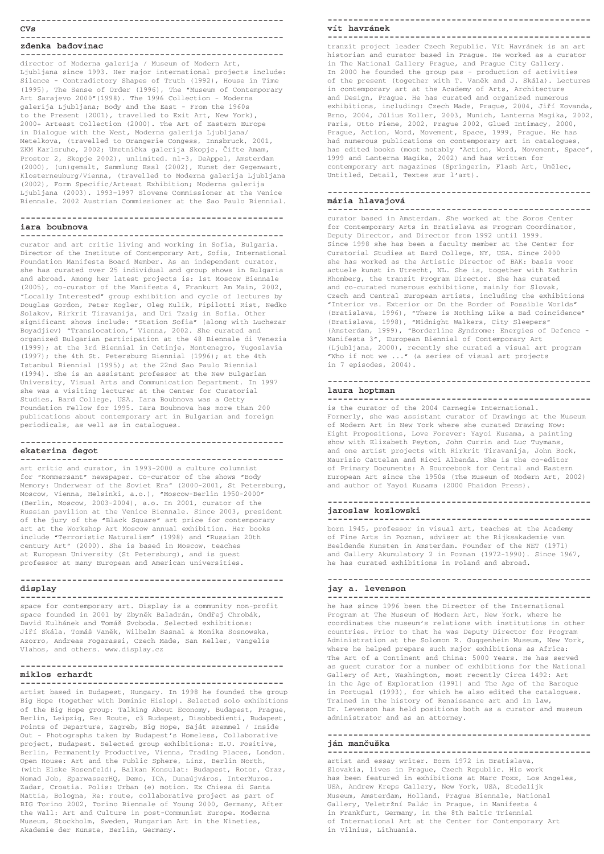#### **---------------------------------------------------**

#### **CVs**

#### **-------------------------------------------------- zdenka badovinac**

**--------------------------------------------------** director of Moderna galerija / Museum of Modern Art, Ljubljana since 1993. Her major international projects include: Silence - Contradictory Shapes of Truth (1992), House in Time (1995), The Sense of Order (1996), The "Museum of Contemporary Art Sarajevo 2000"(1998). The 1996 Collection - Moderna galerija Ljubljana; Body and the East - From the 1960s to the Present (2001), travelled to Exit Art, New York), 2000+ Arteast Collection (2000). The Art of Eastern Europe in Dialogue with the West, Moderna galerija Ljubljana/ Metelkova, (travelled to Orangerie Congess, Innsbruck, 2001, ZKM Karlsruhe, 2002; Umetnička galerija Skopje, Čifte Amam, Prostor 2, Skopje 2002), unlimited. nl-3, DeAppel, Amsterdam (2000), (un)gemalt, Sammlung Essl (2002), Kunst der Gegenwart, Klosterneuburg/Vienna, (travelled to Moderna galerija Ljubljana (2002), Form Specific/Arteast Exhibition; Moderna galerija Ljubljana (2003). 1993–1997 Slovene Commissioner at the Venice Biennale. 2002 Austrian Commissioner at the Sao Paulo Biennial.

#### **-------------------------------------------------- iara boubnova**

**--------------------------------------------------** curator and art critic living and working in Sofia, Bulgaria. Director of the Institute of Contemporary Art, Sofia, International Foundation Manifesta Board Member. As an independent curator, she has curated over 25 individual and group shows in Bulgaria and abroad. Among her latest projects is: 1st Moscow Biennale (2005), co-curator of the Manifesta 4, Frankurt Am Main, 2002, "Locally Interested" group exhibition and cycle of lectures by Douglas Gordon, Peter Kogler, Oleg Kulik, Pipilotti Rist, Nedko Solakov, Rirkrit Tiravanija, and Uri Tzaig in Sofia. Other significant shows include: "Station Sofia" (along with Luchezar Boyadjiev) "Translocation," Vienna, 2002. She curated and organized Bulgarian participation at the 48 Biennale di Venezia (1999); at the 3rd Biennial in Cetinje, Montenegro, Yugoslavia (1997); the 4th St. Petersburg Biennial (1996); at the 4th Istanbul Biennial (1995); at the 22nd Sao Paulo Biennial (1994). She is an assistant professor at the New Bulgarian University, Visual Arts and Communication Department. In 1997 she was a visiting lecturer at the Center for Curatorial Studies, Bard College, USA. Iara Boubnova was a Getty Foundation Fellow for 1995. Iara Boubnova has more than 200 publications about contemporary art in Bulgarian and foreign periodicals, as well as in catalogues.

**---------------------------------------------------**

#### **ekaterina degot**

**--------------------------------------------------** art critic and curator, in 1993-2000 a culture columnist for "Kommersant" newspaper. Co-curator of the shows "Body Memory: Underwear of the Soviet Era" (2000-2001, St Petersburg, Moscow, Vienna, Helsinki, a.o.), "Moscow-Berlin 1950-2000" (Berlin, Moscow, 2003-2004), a.o. In 2001, curator of the Russian pavilion at the Venice Biennale. Since 2003, president of the jury of the "Black Square" art price for contemporary art at the Workshop Art Moscow annual exhibition. Her books include "Terroristic Naturalism" (1998) and "Russian 20th century Art" (2000). She is based in Moscow, teaches at European University (St Petersburg), and is guest

professor at many European and American universities.

**---------------------------------------------------**

## **display**

**--------------------------------------------------** space for contemporary art. Display is a community non-profit space founded in 2001 by Zbyněk Baladrán, Ondřej Chrobák, David Kulhánek and Tomáš Svoboda. Selected exhibitions: Jiří Skála, Tomáš Vaněk, Wilhelm Sasnal & Monika Sosnowska, Azorro, Andreas Fogarassi, Czech Made, San Keller, Vangelis

Vlahos, and others. www.display.cz

**---------------------------------------------------**

#### **miklos erhardt**

**---------------------------------------------------**

artist based in Budapest, Hungary. In 1998 he founded the group Big Hope (together with Dominic Hislop). Selected solo exhibitions of the Big Hope group: Talking About Economy, Budapest, Prague, Berlin, Leipzig, Re: Route, c3 Budapest, Disobbedienti, Budapest, Points of Departure, Zagreb, Big Hope, Saját szemmel / Inside Out - Photographs taken by Budapest's Homeless, Collaborative project, Budapest. Selected group exhibitions: E.U. Positive, Berlin, Permanently Productive, Vienna, Trading Places, London. Open House: Art and the Public Sphere, Linz, Berlin North, (with Elske Rosenfeld), Balkan Konsulat: Budapest, Rotor, Graz, Nomad Job, SparwasserHQ, Demo, ICA, Dunaújváros, InterMuros. Zadar, Croatia. Polis: Urban (e) motion. Ex Chiesa di Santa Mattia, Bologna, Re: route, collaborative project as part of BIG Torino 2002, Torino Biennale of Young 2000, Germany, After the Wall: Art and Culture in post-Communist Europe. Moderna Museum, Stockholm, Sweden, Hungarian Art in the Nineties, Akademie der Künste, Berlin, Germany.

#### **-------------------------------------------------- vít havránek**

**---------------------------------------------------**

tranzit project leader Czech Republic. Vít Havránek is an art historian and curator based in Prague. He worked as a curator in The National Gallery Prague, and Prague City Gallery. In 2000 he founded the group pas - production of activities of the present (together with T. Vaněk and J. Skála). Lectures in contemporary art at the Academy of Arts, Architecture and Design, Prague. He has curated and organized numerous exhibitions, including: Czech Made, Prague, 2004, Jifií Kovanda, Brno, 2004, Július Koller, 2003, Munich, Lanterna Magika, 2002, Paris, Otto Piene, 2002, Prague 2002, Glued Intimacy, 2000, Prague, Action, Word, Movement, Space, 1999, Prague. He has had numerous publications on contemporary art in catalogues, has edited books (most notably "Action, Word, Movement, Space", 1999 and Lanterna Magika, 2002) and has written for contemporary art magazines (Springerin, Flash Art, Umělec, Untitled, Detail, Textes sur l'art).

#### **-------------------------------------------------- mária hlavajová**

**--------------------------------------------------** curator based in Amsterdam. She worked at the Soros Center for Contemporary Arts in Bratislava as Program Coordinator, Deputy Director, and Director from 1992 until 1999. Since 1998 she has been a faculty member at the Center for Curatorial Studies at Bard College, NY, USA. Since 2000 she has worked as the Artistic Director of BAK: basis voor actuele kunst in Utrecht, NL. She is, together with Kathrin Rhomberg, the tranzit Program Director. She has curated and co-curated numerous exhibitions, mainly for Slovak, Czech and Central European artists, including the exhibitions "Interior vs. Exterior or On the Border of Possible Worlds" (Bratislava, 1996), "There is Nothing Like a Bad Coincidence" (Bratislava, 1998), "Midnight Walkers, City Sleepers" (Amsterdam, 1999), "Borderline Syndrome: Energies of Defence - Manifesta 3", European Biennial of Contemporary Art (Ljubljana, 2000), recently she curated a visual art program "Who if not we ..." (a series of visual art projects in 7 episodes, 2004).

#### **-------------------------------------------------- laura hoptman**

**--------------------------------------------------** is the curator of the 2004 Carnegie International. Formerly, she was assistant curator of Drawings at the Museum of Modern Art in New York where she curated Drawing Now: Eight Propositions, Love Forever: Yayoi Kusama, a painting show with Elizabeth Peyton, John Currin and Luc Tuymans, and one artist projects with Rirkrit Tiravanija, John Bock,

Maurizio Cattelan and Ricci Albenda. She is the co-editor of Primary Documents: A Sourcebook for Central and Eastern European Art since the 1950s (The Museum of Modern Art, 2002) and author of Yayoi Kusama (2000 Phaidon Press).

#### **-------------------------------------------------- jaroslaw kozlowski**

**---------------------------------------------------**

born 1945, professor in visual art, teaches at the Academy of Fine Arts in Poznan, adviser at the Rijksakademie van Beeldende Kunsten in Amsterdam. Founder of the NET (1971) and Gallery Akumulatory 2 in Poznan (1972-1990). Since 1967, he has curated exhibitions in Poland and abroad.

**---------------------------------------------------**

#### **jay a. levenson ---------------------------------------------------**

he has since 1996 been the Director of the International Program at The Museum of Modern Art, New York, where he coordinates the museum's relations with institutions in other countries. Prior to that he was Deputy Director for Program Administration at the Solomon R. Guggenheim Museum, New York, where he helped prepare such major exhibitions as Africa: The Art of a Continent and China: 5000 Years. He has served as guest curator for a number of exhibitions for the National Gallery of Art, Washington, most recently Circa 1492: Art in the Age of Exploration (1991) and The Age of the Baroque in Portugal (1993), for which he also edited the catalogues. Trained in the history of Renaissance art and in law, Dr. Levenson has held positions both as a curator and museum administrator and as an attorney.

**---------------------------------------------------**

#### **ján manãu‰ka ---------------------------------------------------**

artist and essay writer. Born 1972 in Bratislava, Slovakia, lives in Prague, Czech Republic. His work has been featured in exhibitions at Marc Foxx, Los Angeles, USA, Andrew Kreps Gallery, New York, USA, Stedelijk Museum, Amsterdam, Holland, Prague Biennale, National Gallery, Veletržní Palác in Prague, in Manifesta 4 in Frankfurt, Germany, in the 8th Baltic Triennial of International Art at the Center for Contemporary Art in Vilnius, Lithuania.